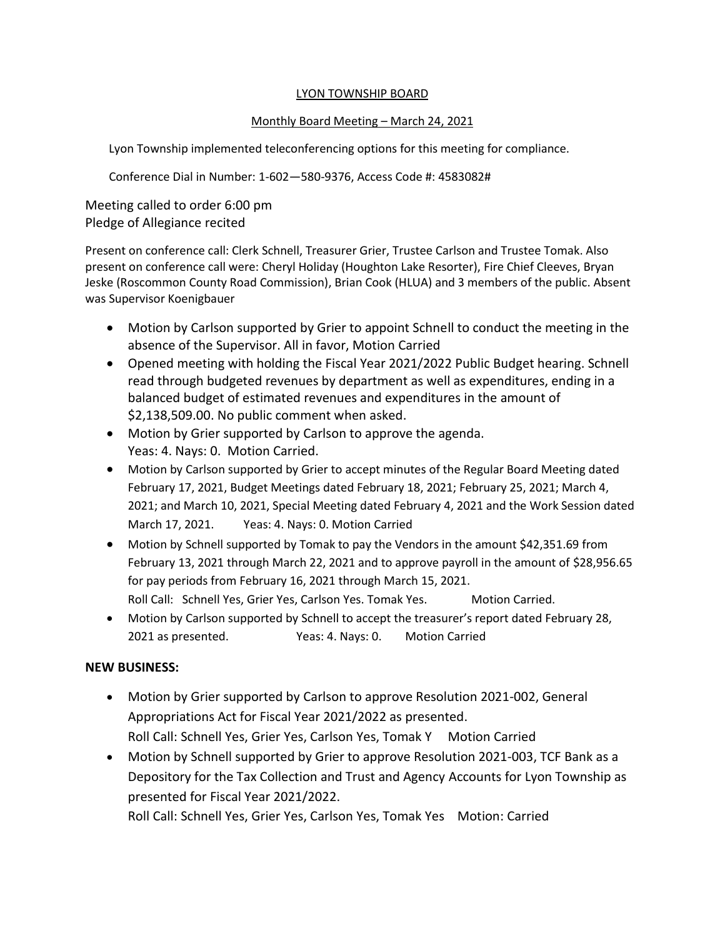#### LYON TOWNSHIP BOARD

#### Monthly Board Meeting – March 24, 2021

Lyon Township implemented teleconferencing options for this meeting for compliance.

Conference Dial in Number: 1-602—580-9376, Access Code #: 4583082#

Meeting called to order 6:00 pm Pledge of Allegiance recited

Present on conference call: Clerk Schnell, Treasurer Grier, Trustee Carlson and Trustee Tomak. Also present on conference call were: Cheryl Holiday (Houghton Lake Resorter), Fire Chief Cleeves, Bryan Jeske (Roscommon County Road Commission), Brian Cook (HLUA) and 3 members of the public. Absent was Supervisor Koenigbauer

- Motion by Carlson supported by Grier to appoint Schnell to conduct the meeting in the absence of the Supervisor. All in favor, Motion Carried
- Opened meeting with holding the Fiscal Year 2021/2022 Public Budget hearing. Schnell read through budgeted revenues by department as well as expenditures, ending in a balanced budget of estimated revenues and expenditures in the amount of \$2,138,509.00. No public comment when asked.
- Motion by Grier supported by Carlson to approve the agenda. Yeas: 4. Nays: 0. Motion Carried.
- Motion by Carlson supported by Grier to accept minutes of the Regular Board Meeting dated February 17, 2021, Budget Meetings dated February 18, 2021; February 25, 2021; March 4, 2021; and March 10, 2021, Special Meeting dated February 4, 2021 and the Work Session dated March 17, 2021. Yeas: 4. Nays: 0. Motion Carried
- Motion by Schnell supported by Tomak to pay the Vendors in the amount \$42,351.69 from February 13, 2021 through March 22, 2021 and to approve payroll in the amount of \$28,956.65 for pay periods from February 16, 2021 through March 15, 2021. Roll Call: Schnell Yes, Grier Yes, Carlson Yes. Tomak Yes. Motion Carried.
- Motion by Carlson supported by Schnell to accept the treasurer's report dated February 28, 2021 as presented. Yeas: 4. Nays: 0. Motion Carried

# **NEW BUSINESS:**

- Motion by Grier supported by Carlson to approve Resolution 2021-002, General Appropriations Act for Fiscal Year 2021/2022 as presented. Roll Call: Schnell Yes, Grier Yes, Carlson Yes, Tomak Y Motion Carried
- Motion by Schnell supported by Grier to approve Resolution 2021-003, TCF Bank as a Depository for the Tax Collection and Trust and Agency Accounts for Lyon Township as presented for Fiscal Year 2021/2022.

Roll Call: Schnell Yes, Grier Yes, Carlson Yes, Tomak Yes Motion: Carried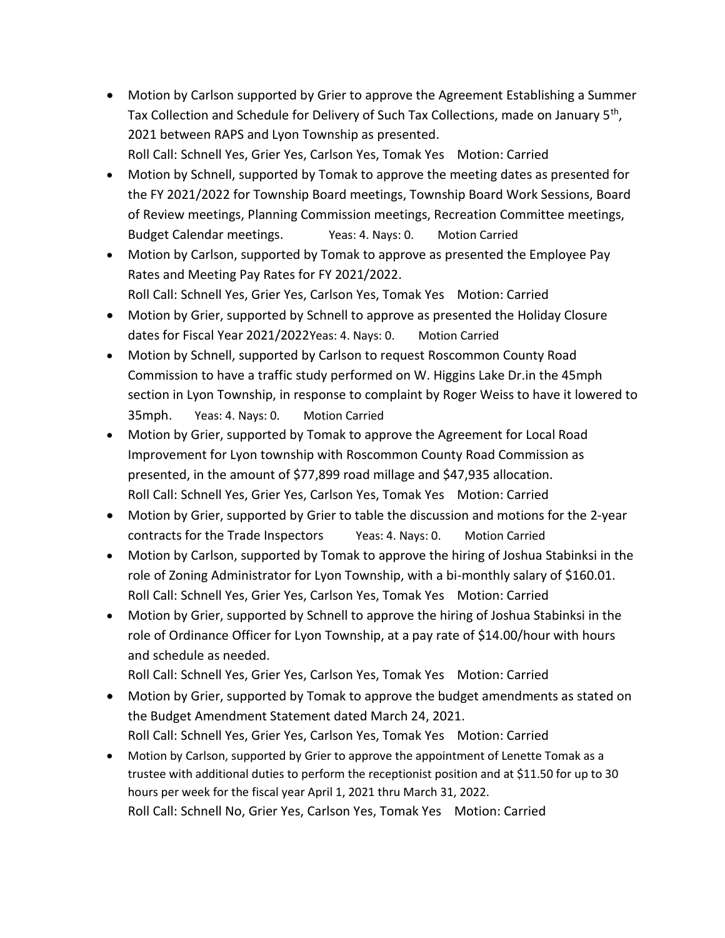- Motion by Carlson supported by Grier to approve the Agreement Establishing a Summer Tax Collection and Schedule for Delivery of Such Tax Collections, made on January 5<sup>th</sup>, 2021 between RAPS and Lyon Township as presented. Roll Call: Schnell Yes, Grier Yes, Carlson Yes, Tomak Yes Motion: Carried
- Motion by Schnell, supported by Tomak to approve the meeting dates as presented for the FY 2021/2022 for Township Board meetings, Township Board Work Sessions, Board of Review meetings, Planning Commission meetings, Recreation Committee meetings, Budget Calendar meetings. Yeas: 4. Nays: 0. Motion Carried
- Motion by Carlson, supported by Tomak to approve as presented the Employee Pay Rates and Meeting Pay Rates for FY 2021/2022. Roll Call: Schnell Yes, Grier Yes, Carlson Yes, Tomak Yes Motion: Carried
- Motion by Grier, supported by Schnell to approve as presented the Holiday Closure dates for Fiscal Year 2021/2022 Yeas: 4. Nays: 0. Motion Carried
- Motion by Schnell, supported by Carlson to request Roscommon County Road Commission to have a traffic study performed on W. Higgins Lake Dr.in the 45mph section in Lyon Township, in response to complaint by Roger Weiss to have it lowered to 35mph. Yeas: 4. Nays: 0. Motion Carried
- Motion by Grier, supported by Tomak to approve the Agreement for Local Road Improvement for Lyon township with Roscommon County Road Commission as presented, in the amount of \$77,899 road millage and \$47,935 allocation. Roll Call: Schnell Yes, Grier Yes, Carlson Yes, Tomak Yes Motion: Carried
- Motion by Grier, supported by Grier to table the discussion and motions for the 2-year contracts for the Trade Inspectors Yeas: 4. Nays: 0. Motion Carried
- Motion by Carlson, supported by Tomak to approve the hiring of Joshua Stabinksi in the role of Zoning Administrator for Lyon Township, with a bi-monthly salary of \$160.01. Roll Call: Schnell Yes, Grier Yes, Carlson Yes, Tomak Yes Motion: Carried
- Motion by Grier, supported by Schnell to approve the hiring of Joshua Stabinksi in the role of Ordinance Officer for Lyon Township, at a pay rate of \$14.00/hour with hours and schedule as needed.

Roll Call: Schnell Yes, Grier Yes, Carlson Yes, Tomak Yes Motion: Carried

- Motion by Grier, supported by Tomak to approve the budget amendments as stated on the Budget Amendment Statement dated March 24, 2021. Roll Call: Schnell Yes, Grier Yes, Carlson Yes, Tomak Yes Motion: Carried
- Motion by Carlson, supported by Grier to approve the appointment of Lenette Tomak as a trustee with additional duties to perform the receptionist position and at \$11.50 for up to 30 hours per week for the fiscal year April 1, 2021 thru March 31, 2022. Roll Call: Schnell No, Grier Yes, Carlson Yes, Tomak Yes Motion: Carried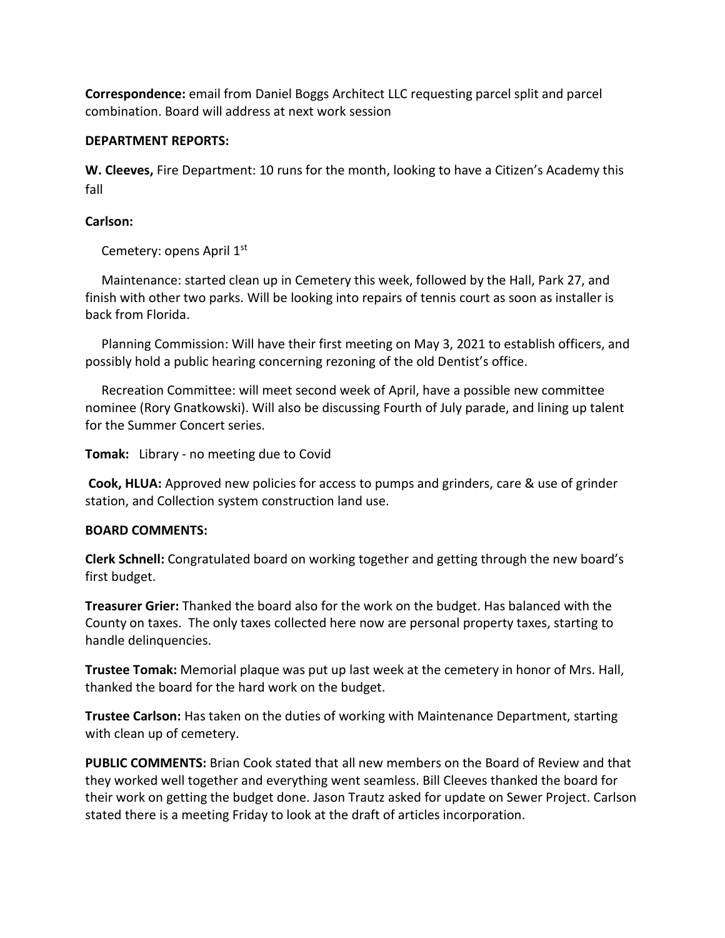**Correspondence:** email from Daniel Boggs Architect LLC requesting parcel split and parcel combination. Board will address at next work session

### **DEPARTMENT REPORTS:**

**W. Cleeves,** Fire Department: 10 runs for the month, looking to have a Citizen's Academy this fall

### **Carlson:**

Cemetery: opens April 1st

 Maintenance: started clean up in Cemetery this week, followed by the Hall, Park 27, and finish with other two parks. Will be looking into repairs of tennis court as soon as installer is back from Florida.

 Planning Commission: Will have their first meeting on May 3, 2021 to establish officers, and possibly hold a public hearing concerning rezoning of the old Dentist's office.

 Recreation Committee: will meet second week of April, have a possible new committee nominee (Rory Gnatkowski). Will also be discussing Fourth of July parade, and lining up talent for the Summer Concert series.

**Tomak:** Library - no meeting due to Covid

**Cook, HLUA:** Approved new policies for access to pumps and grinders, care & use of grinder station, and Collection system construction land use.

# **BOARD COMMENTS:**

**Clerk Schnell:** Congratulated board on working together and getting through the new board's first budget.

**Treasurer Grier:** Thanked the board also for the work on the budget. Has balanced with the County on taxes. The only taxes collected here now are personal property taxes, starting to handle delinquencies.

**Trustee Tomak:** Memorial plaque was put up last week at the cemetery in honor of Mrs. Hall, thanked the board for the hard work on the budget.

**Trustee Carlson:** Has taken on the duties of working with Maintenance Department, starting with clean up of cemetery.

**PUBLIC COMMENTS:** Brian Cook stated that all new members on the Board of Review and that they worked well together and everything went seamless. Bill Cleeves thanked the board for their work on getting the budget done. Jason Trautz asked for update on Sewer Project. Carlson stated there is a meeting Friday to look at the draft of articles incorporation.